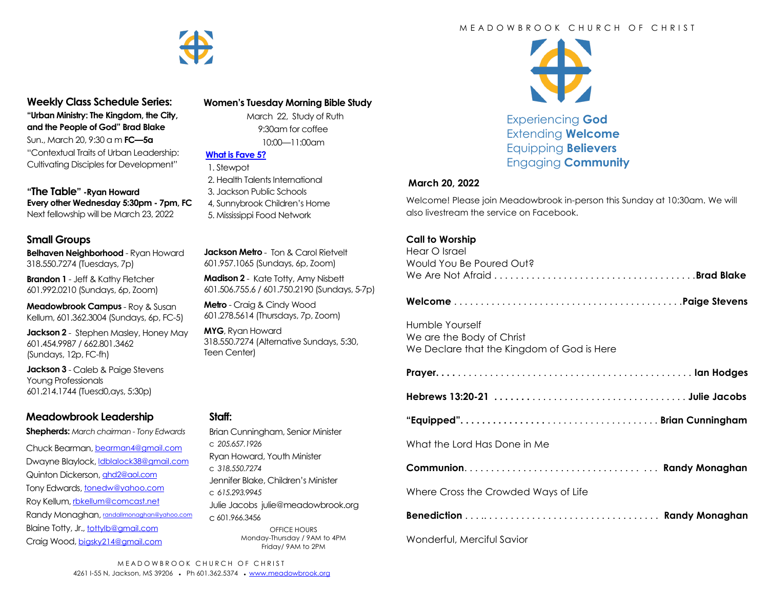

#### **Weekly Class Schedule Series: "Urban Ministry: The Kingdom, the City,**

**and the People of God" Brad Blake** Sun., March 20, 9:30 a m **FC—5a** "Contextual Traits of Urban Leadership: Cultivating Disciples for Development"

**"The Table" -Ryan Howard Every other Wednesday 5:30pm - 7pm, FC** Next fellowship will be March 23, 2022

## **Small Groups**

**Belhaven Neighborhood** - Ryan Howard 318.550.7274 (Tuesdays, 7p)

**Brandon 1** - Jeff & Kathy Fletcher 601.992.0210 (Sundays, 6p, Zoom)

**Meadowbrook Campus** - Roy & Susan Kellum, 601.362.3004 (Sundays, 6p, FC-5)

**Jackson 2** - Stephen Masley, Honey May 601.454.9987 / 662.801.3462 (Sundays, 12p, FC-fh)

**Jackson 3** - Caleb & Paige Stevens Young Professionals 601.214.1744 (Tuesd0,ays, 5:30p)

# **Meadowbrook Leadership**

**Shepherds:** *March chairman - Tony Edwards*

Chuck Bearman, [bearman4@gmail.com](mailto:bearman4@gmail.com) Dwayne Blaylock, *dblalock38@gmail.com* Quinton Dickerson, [qhd2@aol.com](mailto:qhd2@aol.com) Tony Edwards, [tonedw@yahoo.com](mailto:tonedw@yahoo.com) Roy Kellum, [rbkellum@comcast.net](mailto:rbkellum@comcast.net) Randy Monaghan, [randallmonaghan@yahoo.com](mailto:randallmonaghan@yahoo.com) Blaine Totty, Jr., [tottylb@gmail.com](mailto:tottylb@gmail.com) Craig Wood, [bigsky214@gmail.com](mailto:bigsky214@gmail.com)

#### **Women's Tuesday Morning Bible Study**

 March 22, Study of Ruth 9:30am for coffee 10:00—11:00am

 **[What is Fave 5?](https://meadowbrook.ccbchurch.com/group_detail.php?group_id=131)**

- 1. Stewpot
- 2. Health Talents International 3. Jackson Public Schools
- 4, Sunnybrook Children's Home
- 5. Mississippi Food Network

**Jackson Metro** - Ton & Carol Rietvelt 601.957.1065 (Sundays, 6p, Zoom)

**Madison 2** - Kate Totty, Amy Nisbett 601.506.755.6 / 601.750.2190 (Sundays, 5-7p)

**Metro** - Craig & Cindy Wood 601.278.5614 (Thursdays, 7p, Zoom)

**MYG**, Ryan Howard 318.550.7274 (Alternative Sundays, 5:30, Teen Center)

### **Staff:**

Brian Cunningham, Senior Minister c *205.657.1926* Ryan Howard, Youth Minister c *318.550.7274* Jennifer Blake, Children's Minister c *615.293.9945* Julie Jacobs julie@meadowbrook.org c 601.966.3456 OFFICE HOURS Monday-Thursday / 9AM to 4PM Friday/ 9AM to 2PM

#### M F A D O W B R O O K C H U R C H O F C H R I S T



Experiencing **God** Extending **Welcome** Equipping **Believers** Engaging **Community**

#### **March 20, 2022**

Welcome! Please join Meadowbrook in-person this Sunday at 10:30am. We will also livestream the service on Facebook.

#### **Call to Worship**

| Hear O Israel            |  |
|--------------------------|--|
| Would You Be Poured Out? |  |
|                          |  |

**Welcome** . . . . . . . . . . . . . . . . . . . . . . . . . . . . . . . . . . . . . . . . . . .**Paige Stevens**

Humble Yourself We are the Body of Christ We Declare that the Kingdom of God is Here

|--|--|

**Hebrews 13:20-21 . . . . . . .** . . . . . . . . . . . . . . . . . . . . . . . . . . . . . **Julie Jacobs**

**"Equipped". . . . . . . . . . . . . . . .** . . . . . . . . . . . . . . . . . . . . . **Brian Cunningham**

What the Lord Has Done in Me

**Communion**. . . . . . . . . . . . . . . . . . . . . . . . . . . . . . . . . . . . **Randy Monaghan** 

Where Cross the Crowded Ways of Life

**Benediction** . . . .. . . . . . . . . . . . . . . . . . . . . . . . . . . . . . . . . **Randy Monaghan**

Wonderful, Merciful Savior